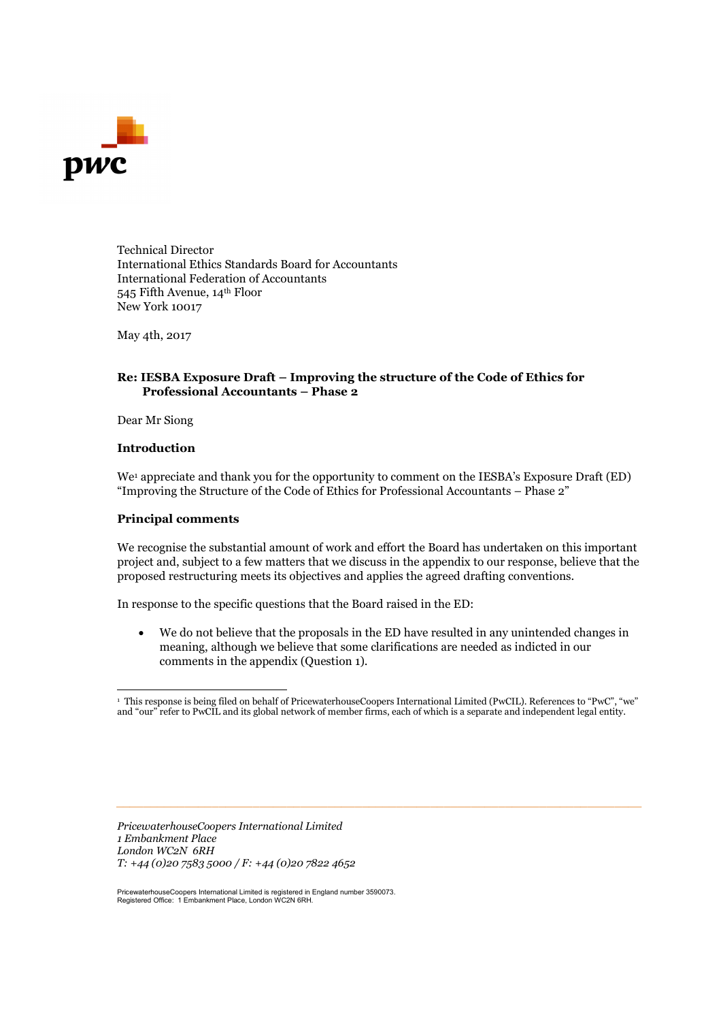

Technical Director International Ethics Standards Board for Accountants International Federation of Accountants 545 Fifth Avenue, 14th Floor New York 10017

May 4th, 2017

#### **Re: IESBA Exposure Draft – Improving the structure of the Code of Ethics for Professional Accountants – Phase 2**

Dear Mr Siong

#### **Introduction**

We<sup>1</sup> appreciate and thank you for the opportunity to comment on the IESBA's Exposure Draft (ED) "Improving the Structure of the Code of Ethics for Professional Accountants – Phase 2"

#### **Principal comments**

We recognise the substantial amount of work and effort the Board has undertaken on this important project and, subject to a few matters that we discuss in the appendix to our response, believe that the proposed restructuring meets its objectives and applies the agreed drafting conventions.

In response to the specific questions that the Board raised in the ED:

 We do not believe that the proposals in the ED have resulted in any unintended changes in meaning, although we believe that some clarifications are needed as indicted in our comments in the appendix (Question 1).

*\_\_\_\_\_\_\_\_\_\_\_\_\_\_\_\_\_\_\_\_\_\_\_\_\_\_\_\_\_\_\_\_\_\_\_\_\_\_\_\_\_\_\_\_\_\_\_\_\_\_\_\_\_\_\_\_\_\_\_\_\_\_\_\_\_\_\_\_\_\_\_\_\_\_\_\_\_*

*PricewaterhouseCoopers International Limited 1 Embankment Place London WC2N 6RH T: +44 (0)20 7583 5000 / F: +44 (0)20 7822 4652*

PricewaterhouseCoopers International Limited is registered in England number 3590073. Registered Office: 1 Embankment Place, London WC2N 6RH.

<sup>1</sup> This response is being filed on behalf of PricewaterhouseCoopers International Limited (PwCIL). References to "PwC", "we" and "our" refer to PwCIL and its global network of member firms, each of which is a separate and independent legal entity.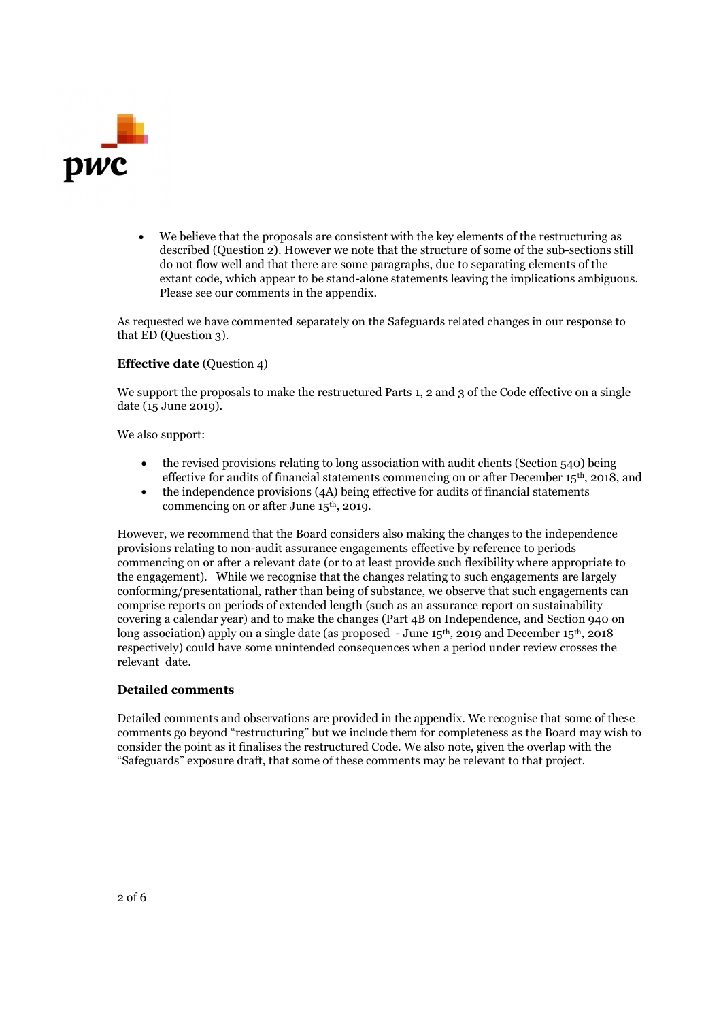

 We believe that the proposals are consistent with the key elements of the restructuring as described (Question 2). However we note that the structure of some of the sub-sections still do not flow well and that there are some paragraphs, due to separating elements of the extant code, which appear to be stand-alone statements leaving the implications ambiguous. Please see our comments in the appendix.

As requested we have commented separately on the Safeguards related changes in our response to that ED (Question 3).

#### **Effective date** (Question 4)

We support the proposals to make the restructured Parts 1, 2 and 3 of the Code effective on a single date (15 June 2019).

We also support:

- the revised provisions relating to long association with audit clients (Section 540) being effective for audits of financial statements commencing on or after December 15th, 2018, and
- the independence provisions (4A) being effective for audits of financial statements commencing on or after June 15th, 2019.

However, we recommend that the Board considers also making the changes to the independence provisions relating to non-audit assurance engagements effective by reference to periods commencing on or after a relevant date (or to at least provide such flexibility where appropriate to the engagement). While we recognise that the changes relating to such engagements are largely conforming/presentational, rather than being of substance, we observe that such engagements can comprise reports on periods of extended length (such as an assurance report on sustainability covering a calendar year) and to make the changes (Part 4B on Independence, and Section 940 on long association) apply on a single date (as proposed - June 15<sup>th</sup>, 2019 and December 15<sup>th</sup>, 2018 respectively) could have some unintended consequences when a period under review crosses the relevant date.

#### **Detailed comments**

Detailed comments and observations are provided in the appendix. We recognise that some of these comments go beyond "restructuring" but we include them for completeness as the Board may wish to consider the point as it finalises the restructured Code. We also note, given the overlap with the "Safeguards" exposure draft, that some of these comments may be relevant to that project.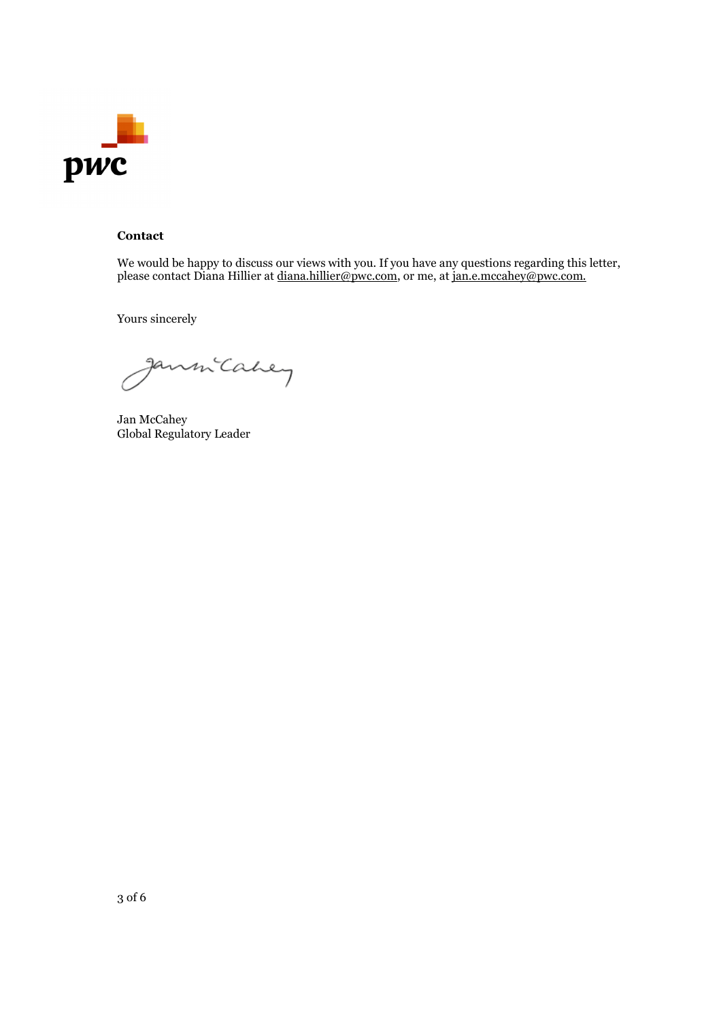

### **Contact**

We would be happy to discuss our views with you. If you have any questions regarding this letter, please contact Diana Hillier at <u>diana.hillier@pwc.com</u>, or me, at <u>jan.e.mccahey@pwc.com.</u>

Yours sincerely

nm Cahey

Jan McCahey Global Regulatory Leader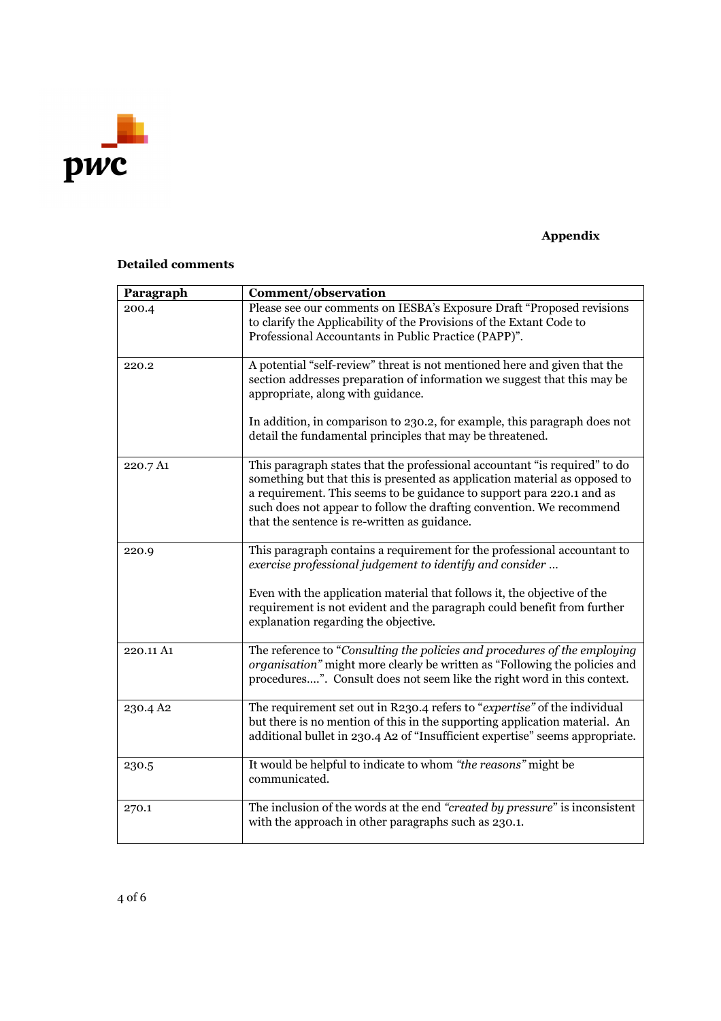

# **Appendix**

## **Detailed comments**

| Paragraph | Comment/observation                                                                                                                                                                                                                                                                                                                                       |
|-----------|-----------------------------------------------------------------------------------------------------------------------------------------------------------------------------------------------------------------------------------------------------------------------------------------------------------------------------------------------------------|
| 200.4     | Please see our comments on IESBA's Exposure Draft "Proposed revisions<br>to clarify the Applicability of the Provisions of the Extant Code to<br>Professional Accountants in Public Practice (PAPP)".                                                                                                                                                     |
| 220.2     | A potential "self-review" threat is not mentioned here and given that the<br>section addresses preparation of information we suggest that this may be<br>appropriate, along with guidance.                                                                                                                                                                |
|           | In addition, in comparison to 230.2, for example, this paragraph does not<br>detail the fundamental principles that may be threatened.                                                                                                                                                                                                                    |
| 220.7 A1  | This paragraph states that the professional accountant "is required" to do<br>something but that this is presented as application material as opposed to<br>a requirement. This seems to be guidance to support para 220.1 and as<br>such does not appear to follow the drafting convention. We recommend<br>that the sentence is re-written as guidance. |
| 220.9     | This paragraph contains a requirement for the professional accountant to<br>exercise professional judgement to identify and consider                                                                                                                                                                                                                      |
|           | Even with the application material that follows it, the objective of the<br>requirement is not evident and the paragraph could benefit from further<br>explanation regarding the objective.                                                                                                                                                               |
| 220.11 A1 | The reference to "Consulting the policies and procedures of the employing<br>organisation" might more clearly be written as "Following the policies and<br>procedures". Consult does not seem like the right word in this context.                                                                                                                        |
| 230.4 A2  | The requirement set out in R230.4 refers to "expertise" of the individual<br>but there is no mention of this in the supporting application material. An<br>additional bullet in 230.4 A2 of "Insufficient expertise" seems appropriate.                                                                                                                   |
| 230.5     | It would be helpful to indicate to whom "the reasons" might be<br>communicated.                                                                                                                                                                                                                                                                           |
| 270.1     | The inclusion of the words at the end "created by pressure" is inconsistent<br>with the approach in other paragraphs such as 230.1.                                                                                                                                                                                                                       |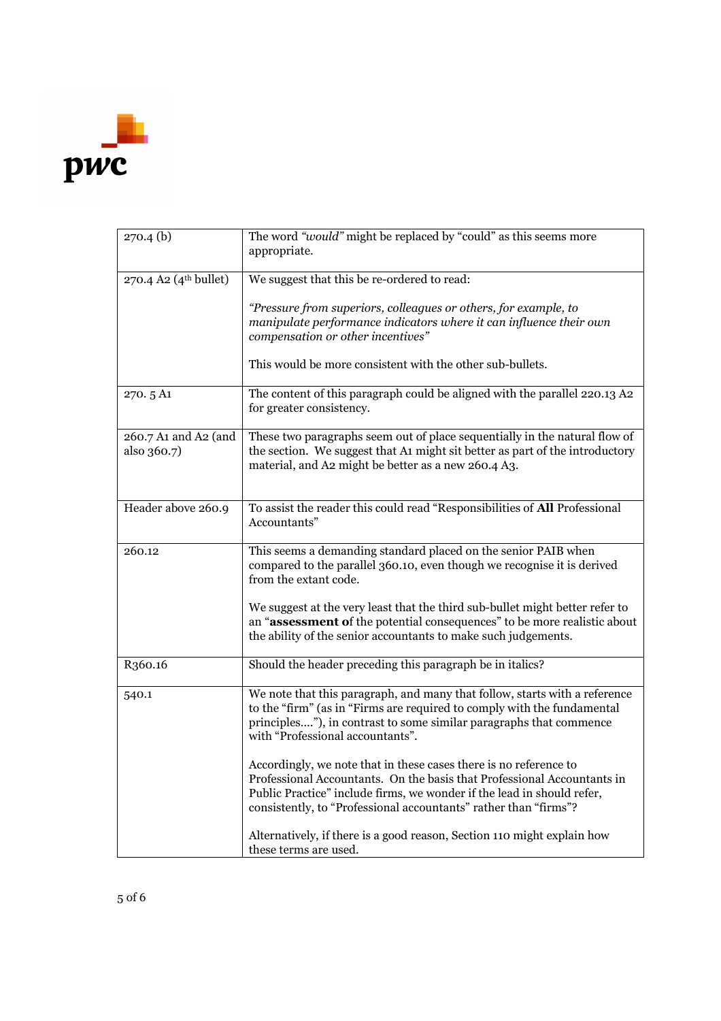

| $270.4$ (b)                         | The word "would" might be replaced by "could" as this seems more<br>appropriate.                                                                                                                                                                                                           |
|-------------------------------------|--------------------------------------------------------------------------------------------------------------------------------------------------------------------------------------------------------------------------------------------------------------------------------------------|
| 270.4 A2 (4 <sup>th</sup> bullet)   | We suggest that this be re-ordered to read:                                                                                                                                                                                                                                                |
|                                     | "Pressure from superiors, colleagues or others, for example, to<br>manipulate performance indicators where it can influence their own<br>compensation or other incentives"                                                                                                                 |
|                                     | This would be more consistent with the other sub-bullets.                                                                                                                                                                                                                                  |
| 270.5 A1                            | The content of this paragraph could be aligned with the parallel 220.13 A2<br>for greater consistency.                                                                                                                                                                                     |
| 260.7 A1 and A2 (and<br>also 360.7) | These two paragraphs seem out of place sequentially in the natural flow of<br>the section. We suggest that A1 might sit better as part of the introductory<br>material, and A2 might be better as a new 260.4 A3.                                                                          |
| Header above 260.9                  | To assist the reader this could read "Responsibilities of All Professional<br>Accountants"                                                                                                                                                                                                 |
| 260.12                              | This seems a demanding standard placed on the senior PAIB when<br>compared to the parallel 360.10, even though we recognise it is derived<br>from the extant code.                                                                                                                         |
|                                     | We suggest at the very least that the third sub-bullet might better refer to<br>an "assessment of the potential consequences" to be more realistic about<br>the ability of the senior accountants to make such judgements.                                                                 |
| R <sub>360.16</sub>                 | Should the header preceding this paragraph be in italics?                                                                                                                                                                                                                                  |
| 540.1                               | We note that this paragraph, and many that follow, starts with a reference<br>to the "firm" (as in "Firms are required to comply with the fundamental<br>principles"), in contrast to some similar paragraphs that commence<br>with "Professional accountants".                            |
|                                     | Accordingly, we note that in these cases there is no reference to<br>Professional Accountants. On the basis that Professional Accountants in<br>Public Practice" include firms, we wonder if the lead in should refer,<br>consistently, to "Professional accountants" rather than "firms"? |
|                                     | Alternatively, if there is a good reason, Section 110 might explain how<br>these terms are used.                                                                                                                                                                                           |